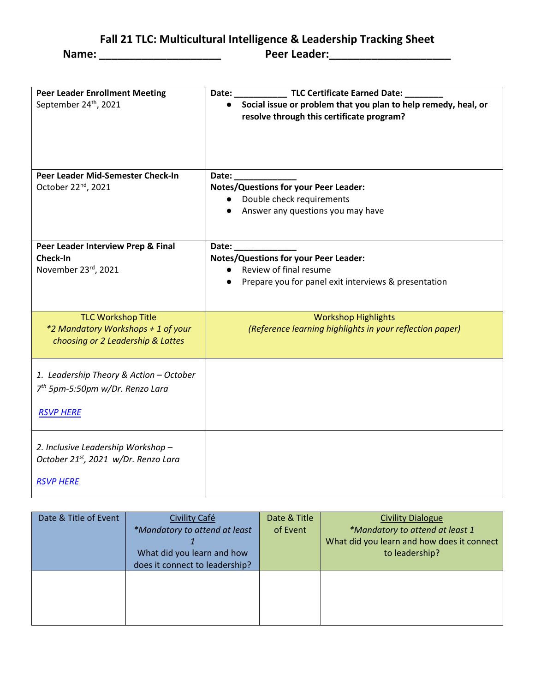**Fall 21 TLC: Multicultural Intelligence & Leadership Tracking Sheet**

**Name: \_\_\_\_\_\_\_\_\_\_\_\_\_\_\_\_\_\_\_\_ Peer Leader:\_\_\_\_\_\_\_\_\_\_\_\_\_\_\_\_\_\_\_\_** 

| <b>Peer Leader Enrollment Meeting</b><br>September 24 <sup>th</sup> , 2021                                 | TLC Certificate Earned Date: _<br>Date:<br>• Social issue or problem that you plan to help remedy, heal, or<br>resolve through this certificate program? |
|------------------------------------------------------------------------------------------------------------|----------------------------------------------------------------------------------------------------------------------------------------------------------|
| Peer Leader Mid-Semester Check-In<br>October 22 <sup>nd</sup> , 2021                                       | Date:<br><b>Notes/Questions for your Peer Leader:</b><br>• Double check requirements<br>• Answer any questions you may have                              |
| Peer Leader Interview Prep & Final<br>Check-In<br>November 23rd, 2021                                      | Date:<br><b>Notes/Questions for your Peer Leader:</b><br>• Review of final resume<br>Prepare you for panel exit interviews & presentation                |
| <b>TLC Workshop Title</b><br>*2 Mandatory Workshops + 1 of your<br>choosing or 2 Leadership & Lattes       | <b>Workshop Highlights</b><br>(Reference learning highlights in your reflection paper)                                                                   |
| 1. Leadership Theory & Action - October<br>7 <sup>th</sup> 5pm-5:50pm w/Dr. Renzo Lara<br><b>RSVP HERE</b> |                                                                                                                                                          |
| 2. Inclusive Leadership Workshop -<br>October 21st, 2021 w/Dr. Renzo Lara<br><b>RSVP HERE</b>              |                                                                                                                                                          |

| Date & Title of Event | Civility Café<br>*Mandatory to attend at least<br>What did you learn and how<br>does it connect to leadership? | Date & Title<br>of Event | <b>Civility Dialogue</b><br>*Mandatory to attend at least 1<br>What did you learn and how does it connect<br>to leadership? |
|-----------------------|----------------------------------------------------------------------------------------------------------------|--------------------------|-----------------------------------------------------------------------------------------------------------------------------|
|                       |                                                                                                                |                          |                                                                                                                             |